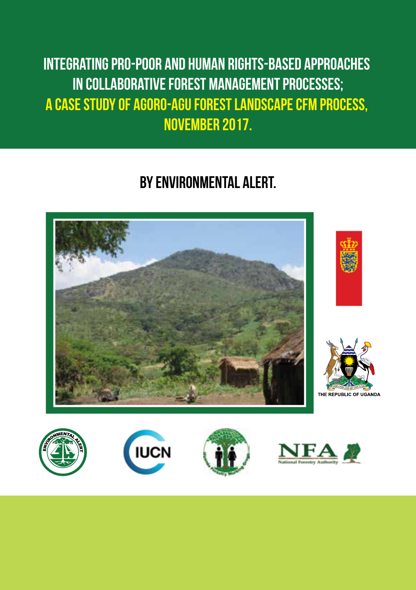Integrating Pro-Poor and Human Rights-Based Approaches in Collaborative Forest Management Processes; A Case study of Agoro-Agu Forest Landscape CFM Process, November 2017.

## BY ENVIRONMENTAL ALERT.









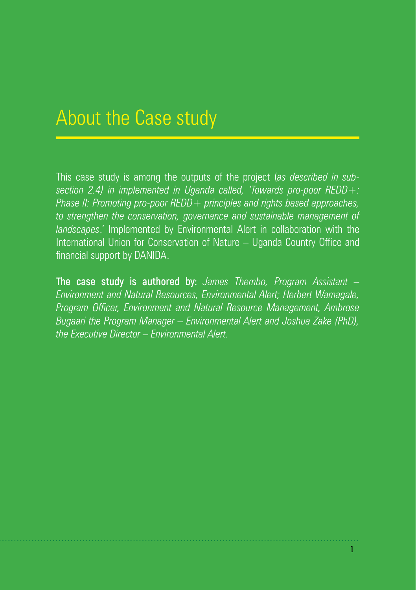## About the Case study

This case study is among the outputs of the project (*as described in subsection 2.4) in implemented in Uganda called, 'Towards pro-poor REDD+: Phase II: Promoting pro-poor REDD+ principles and rights based approaches, to strengthen the conservation, governance and sustainable management of landscapes*.' Implemented by Environmental Alert in collaboration with the International Union for Conservation of Nature – Uganda Country Office and financial support by DANIDA.

**The case study is authored by:** *James Thembo, Program Assistant – Environment and Natural Resources, Environmental Alert; Herbert Wamagale, Program Officer, Environment and Natural Resource Management, Ambrose Bugaari the Program Manager – Environmental Alert and Joshua Zake (PhD), the Executive Director – Environmental Alert.*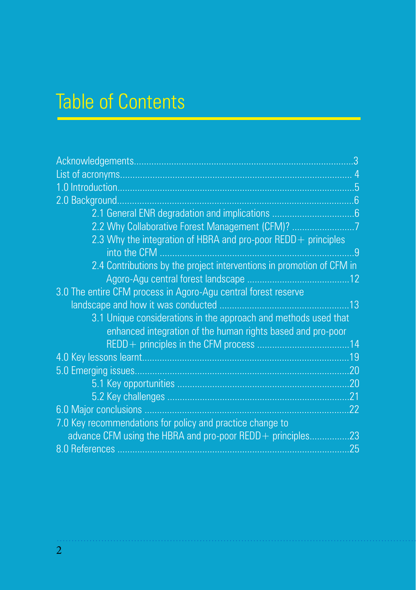# Table of Contents

|                                                                       | 5   |
|-----------------------------------------------------------------------|-----|
| 2.0 Background                                                        | .6  |
|                                                                       |     |
| 2.2 Why Collaborative Forest Management (CFM)? 7                      |     |
| 2.3 Why the integration of HBRA and pro-poor REDD + principles        |     |
| into the CFM.                                                         | 9   |
| 2.4 Contributions by the project interventions in promotion of CFM in |     |
|                                                                       | .12 |
| 3.0 The entire CFM process in Agoro-Agu central forest reserve        |     |
|                                                                       | 13  |
| 3.1 Unique considerations in the approach and methods used that       |     |
| enhanced integration of the human rights based and pro-poor           |     |
|                                                                       |     |
|                                                                       | .19 |
|                                                                       | .20 |
|                                                                       | .20 |
|                                                                       | .21 |
|                                                                       | .22 |
| 7.0 Key recommendations for policy and practice change to             |     |
| advance CFM using the HBRA and pro-poor REDD + principles             | 23  |
|                                                                       | 25  |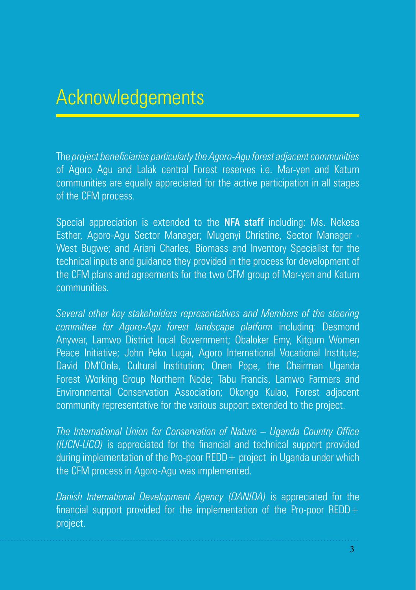## Acknowledgements

The *project beneficiaries particularly the Agoro-Agu forest adjacent communities* of Agoro Agu and Lalak central Forest reserves i.e. Mar-yen and Katum communities are equally appreciated for the active participation in all stages of the CFM process.

Special appreciation is extended to the **NFA staff** including: Ms. Nekesa Esther, Agoro-Agu Sector Manager; Mugenyi Christine, Sector Manager - West Bugwe; and Ariani Charles, Biomass and Inventory Specialist for the technical inputs and guidance they provided in the process for development of the CFM plans and agreements for the two CFM group of Mar-yen and Katum communities.

*Several other key stakeholders representatives and Members of the steering committee for Agoro-Agu forest landscape platform* including: Desmond Anywar, Lamwo District local Government; Obaloker Emy, Kitgum Women Peace Initiative; John Peko Lugai, Agoro International Vocational Institute; David DM'Oola, Cultural Institution; Onen Pope, the Chairman Uganda Forest Working Group Northern Node; Tabu Francis, Lamwo Farmers and Environmental Conservation Association; Okongo Kulao, Forest adjacent community representative for the various support extended to the project.

*The International Union for Conservation of Nature – Uganda Country Office (IUCN-UCO)* is appreciated for the financial and technical support provided during implementation of the Pro-poor REDD + project in Uganda under which the CFM process in Agoro-Agu was implemented.

*Danish International Development Agency (DANIDA)* is appreciated for the financial support provided for the implementation of the Pro-poor REDD $+$ project.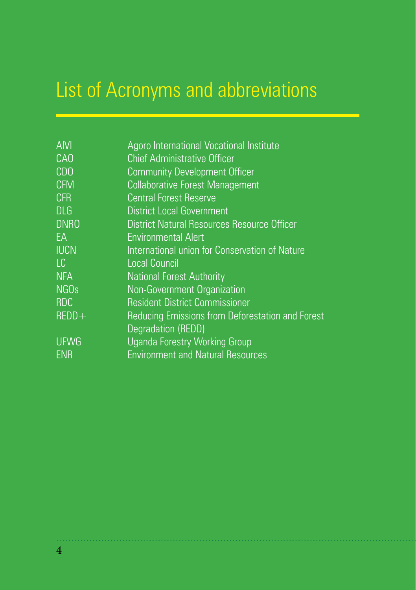# List of Acronyms and abbreviations

| <b>AIVI</b>     | Agoro International Vocational Institute         |
|-----------------|--------------------------------------------------|
| CA <sub>O</sub> | <b>Chief Administrative Officer</b>              |
| <b>CDO</b>      | <b>Community Development Officer</b>             |
| <b>CFM</b>      | <b>Collaborative Forest Management</b>           |
| <b>CFR</b>      | <b>Central Forest Reserve</b>                    |
| <b>DLG</b>      | <b>District Local Government</b>                 |
| <b>DNRO</b>     | District Natural Resources Resource Officer      |
| <b>FA</b>       | <b>Environmental Alert</b>                       |
| <b>IUCN</b>     | International union for Conservation of Nature   |
| LC              | <b>Local Council</b>                             |
| <b>NFA</b>      | <b>National Forest Authority</b>                 |
| <b>NGOs</b>     | Non-Government Organization                      |
| <b>RDC</b>      | <b>Resident District Commissioner</b>            |
| $REDD+$         | Reducing Emissions from Deforestation and Forest |
|                 | Degradation (REDD)                               |
| <b>UFWG</b>     | <b>Uganda Forestry Working Group</b>             |
| <b>ENR</b>      | <b>Environment and Natural Resources</b>         |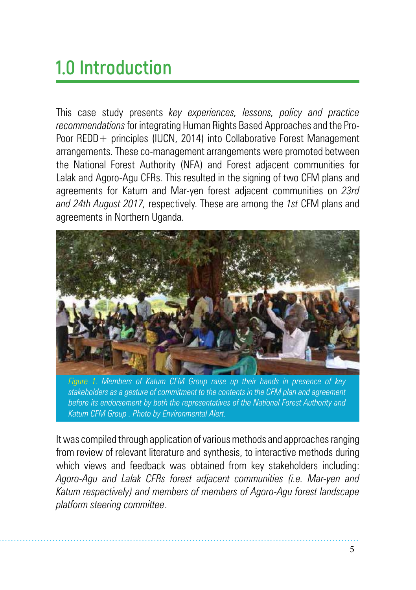# **1.0 Introduction**

This case study presents *key experiences, lessons, policy and practice recommendations* for integrating Human Rights Based Approaches and the Pro-Poor REDD+ principles (IUCN, 2014) into Collaborative Forest Management arrangements. These co-management arrangements were promoted between the National Forest Authority (NFA) and Forest adjacent communities for Lalak and Agoro-Agu CFRs. This resulted in the signing of two CFM plans and agreements for Katum and Mar-yen forest adjacent communities on *23rd and 24th August 2017,* respectively. These are among the *1st* CFM plans and agreements in Northern Uganda.



*Figure 1. Members of Katum CFM Group raise up their hands in presence of key stakeholders as a gesture of commitment to the contents in the CFM plan and agreement before its endorsement by both the representatives of the National Forest Authority and Katum CFM Group . Photo by Environmental Alert.*

It was compiled through application of various methods and approaches ranging from review of relevant literature and synthesis, to interactive methods during which views and feedback was obtained from key stakeholders including: *Agoro-Agu and Lalak CFRs forest adjacent communities (i.e. Mar-yen and Katum respectively) and members of members of Agoro-Agu forest landscape platform steering committee*.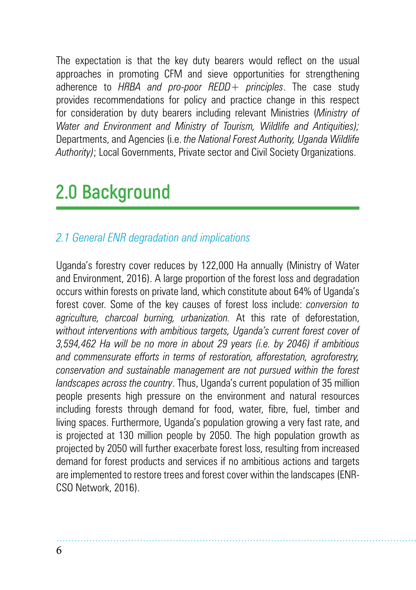The expectation is that the key duty bearers would reflect on the usual approaches in promoting CFM and sieve opportunities for strengthening adherence to *HRBA and pro-poor REDD+ principles*. The case study provides recommendations for policy and practice change in this respect for consideration by duty bearers including relevant Ministries (*Ministry of Water and Environment and Ministry of Tourism, Wildlife and Antiquities);*  Departments, and Agencies (i.e. *the National Forest Authority, Uganda Wildlife Authority)*; Local Governments, Private sector and Civil Society Organizations.

# **2.0 Background**

## *2.1 General ENR degradation and implications*

Uganda's forestry cover reduces by 122,000 Ha annually (Ministry of Water and Environment, 2016). A large proportion of the forest loss and degradation occurs within forests on private land, which constitute about 64% of Uganda's forest cover. Some of the key causes of forest loss include: *conversion to agriculture, charcoal burning, urbanization.* At this rate of deforestation, *without interventions with ambitious targets, Uganda's current forest cover of 3,594,462 Ha will be no more in about 29 years (i.e. by 2046) if ambitious and commensurate efforts in terms of restoration, afforestation, agroforestry, conservation and sustainable management are not pursued within the forest landscapes across the country*. Thus, Uganda's current population of 35 million people presents high pressure on the environment and natural resources including forests through demand for food, water, fibre, fuel, timber and living spaces. Furthermore, Uganda's population growing a very fast rate, and is projected at 130 million people by 2050. The high population growth as projected by 2050 will further exacerbate forest loss, resulting from increased demand for forest products and services if no ambitious actions and targets are implemented to restore trees and forest cover within the landscapes (ENR-CSO Network, 2016).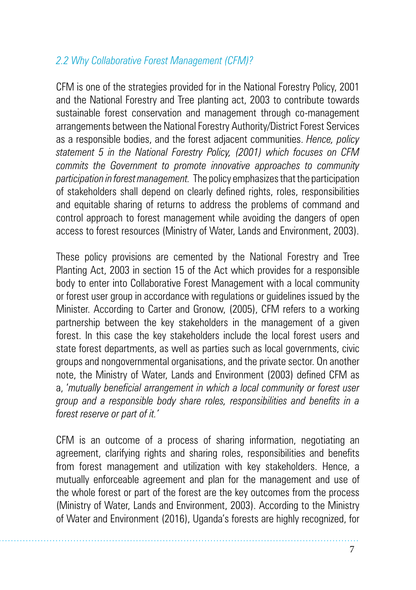### *2.2 Why Collaborative Forest Management (CFM)?*

CFM is one of the strategies provided for in the National Forestry Policy, 2001 and the National Forestry and Tree planting act, 2003 to contribute towards sustainable forest conservation and management through co-management arrangements between the National Forestry Authority/District Forest Services as a responsible bodies, and the forest adjacent communities. *Hence, policy statement 5 in the National Forestry Policy, (2001) which focuses on CFM commits the Government to promote innovative approaches to community participation in forest management.* The policy emphasizes that the participation of stakeholders shall depend on clearly defined rights, roles, responsibilities and equitable sharing of returns to address the problems of command and control approach to forest management while avoiding the dangers of open access to forest resources (Ministry of Water, Lands and Environment, 2003).

These policy provisions are cemented by the National Forestry and Tree Planting Act, 2003 in section 15 of the Act which provides for a responsible body to enter into Collaborative Forest Management with a local community or forest user group in accordance with regulations or guidelines issued by the Minister. According to Carter and Gronow, (2005), CFM refers to a working partnership between the key stakeholders in the management of a given forest. In this case the key stakeholders include the local forest users and state forest departments, as well as parties such as local governments, civic groups and nongovernmental organisations, and the private sector. On another note, the Ministry of Water, Lands and Environment (2003) defined CFM as a, '*mutually beneficial arrangement in which a local community or forest user group and a responsible body share roles, responsibilities and benefits in a forest reserve or part of it.'*

CFM is an outcome of a process of sharing information, negotiating an agreement, clarifying rights and sharing roles, responsibilities and benefits from forest management and utilization with key stakeholders. Hence, a mutually enforceable agreement and plan for the management and use of the whole forest or part of the forest are the key outcomes from the process (Ministry of Water, Lands and Environment, 2003). According to the Ministry of Water and Environment (2016), Uganda's forests are highly recognized, for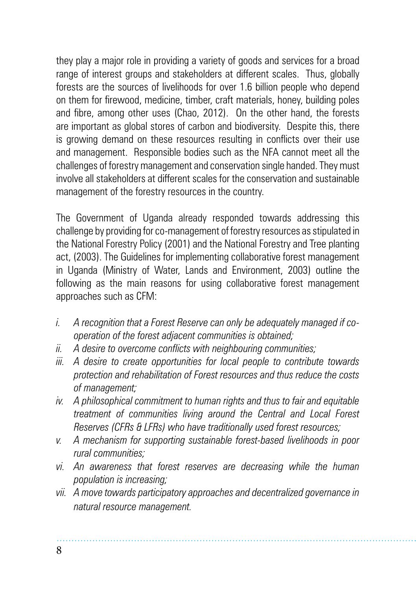they play a major role in providing a variety of goods and services for a broad range of interest groups and stakeholders at different scales. Thus, globally forests are the sources of livelihoods for over 1.6 billion people who depend on them for firewood, medicine, timber, craft materials, honey, building poles and fibre, among other uses (Chao, 2012). On the other hand, the forests are important as global stores of carbon and biodiversity. Despite this, there is growing demand on these resources resulting in conflicts over their use and management. Responsible bodies such as the NFA cannot meet all the challenges of forestry management and conservation single handed. They must involve all stakeholders at different scales for the conservation and sustainable management of the forestry resources in the country.

The Government of Uganda already responded towards addressing this challenge by providing for co-management of forestry resources as stipulated in the National Forestry Policy (2001) and the National Forestry and Tree planting act, (2003). The Guidelines for implementing collaborative forest management in Uganda (Ministry of Water, Lands and Environment, 2003) outline the following as the main reasons for using collaborative forest management approaches such as CFM:

- *i. A recognition that a Forest Reserve can only be adequately managed if cooperation of the forest adjacent communities is obtained;*
- *ii. A desire to overcome conflicts with neighbouring communities;*
- *iii. A desire to create opportunities for local people to contribute towards protection and rehabilitation of Forest resources and thus reduce the costs of management;*
- *iv. A philosophical commitment to human rights and thus to fair and equitable treatment of communities living around the Central and Local Forest Reserves (CFRs & LFRs) who have traditionally used forest resources;*
- *v. A mechanism for supporting sustainable forest-based livelihoods in poor rural communities;*
- *vi. An awareness that forest reserves are decreasing while the human population is increasing;*
- *vii. A move towards participatory approaches and decentralized governance in natural resource management.*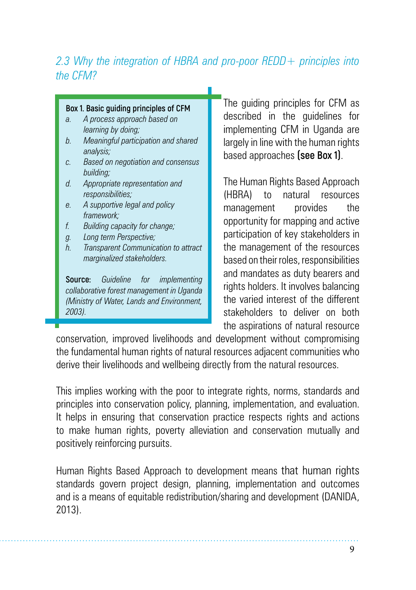### *2.3 Why the integration of HBRA and pro-poor REDD+ principles into the CFM?*

### **Box 1. Basic guiding principles of CFM**

- *a. A process approach based on learning by doing;*
- *b. Meaningful participation and shared analysis;*
- *c. Based on negotiation and consensus building;*
- *d. Appropriate representation and responsibilities;*
- *e. A supportive legal and policy framework;*
- *f. Building capacity for change;*
- *g. Long term Perspective;*
- *h. Transparent Communication to attract marginalized stakeholders.*

**Source:** *Guideline for implementing collaborative forest management in Uganda (Ministry of Water, Lands and Environment, 2003).*

The quiding principles for CFM as described in the guidelines for implementing CFM in Uganda are largely in line with the human rights based approaches **(see Box 1)**.

The Human Rights Based Approach (HBRA) to natural resources management provides the opportunity for mapping and active participation of key stakeholders in the management of the resources based on their roles, responsibilities and mandates as duty bearers and rights holders. It involves balancing the varied interest of the different stakeholders to deliver on both the aspirations of natural resource

conservation, improved livelihoods and development without compromising the fundamental human rights of natural resources adjacent communities who derive their livelihoods and wellbeing directly from the natural resources.

This implies working with the poor to integrate rights, norms, standards and principles into conservation policy, planning, implementation, and evaluation. It helps in ensuring that conservation practice respects rights and actions to make human rights, poverty alleviation and conservation mutually and positively reinforcing pursuits.

Human Rights Based Approach to development means that human rights standards govern project design, planning, implementation and outcomes and is a means of equitable redistribution/sharing and development (DANIDA, 2013).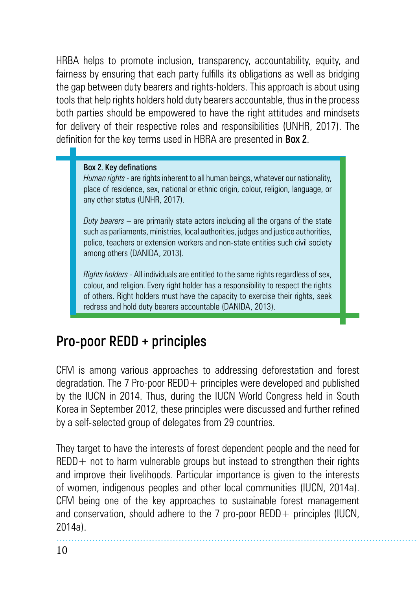HRBA helps to promote inclusion, transparency, accountability, equity, and fairness by ensuring that each party fulfills its obligations as well as bridging the gap between duty bearers and rights-holders. This approach is about using tools that help rights holders hold duty bearers accountable, thus in the process both parties should be empowered to have the right attitudes and mindsets for delivery of their respective roles and responsibilities (UNHR, 2017). The definition for the key terms used in HBRA are presented in **Box 2**.

### **Box 2. Key definations**

*Human rights* - are rights inherent to all human beings, whatever our nationality, place of residence, sex, national or ethnic origin, colour, religion, language, or any other status (UNHR, 2017).

*Duty bearers* – are primarily state actors including all the organs of the state such as parliaments, ministries, local authorities, judges and justice authorities, police, teachers or extension workers and non-state entities such civil society among others (DANIDA, 2013).

*Rights holders -* All individuals are entitled to the same rights regardless of sex, colour, and religion. Every right holder has a responsibility to respect the rights of others. Right holders must have the capacity to exercise their rights, seek redress and hold duty bearers accountable (DANIDA, 2013).

## **Pro-poor REDD + principles**

CFM is among various approaches to addressing deforestation and forest degradation. The 7 Pro-poor  $REDD +$  principles were developed and published by the IUCN in 2014. Thus, during the IUCN World Congress held in South Korea in September 2012, these principles were discussed and further refined by a self-selected group of delegates from 29 countries.

They target to have the interests of forest dependent people and the need for  $REDD+$  not to harm vulnerable groups but instead to strengthen their rights and improve their livelihoods. Particular importance is given to the interests of women, indigenous peoples and other local communities (IUCN, 2014a). CFM being one of the key approaches to sustainable forest management and conservation, should adhere to the  $7$  pro-poor REDD + principles (IUCN, 2014a).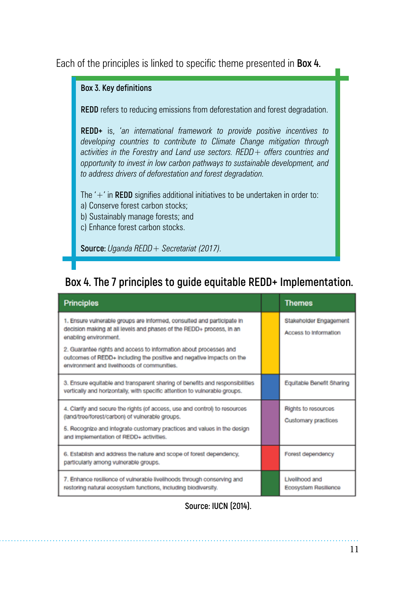Each of the principles is linked to specific theme presented in **Box 4.**

#### **Box 3. Key definitions**

**REDD** refers to reducing emissions from deforestation and forest degradation.

**REDD+** is, '*an international framework to provide positive incentives to developing countries to contribute to Climate Change mitigation through activities in the Forestry and Land use sectors. REDD+ offers countries and opportunity to invest in low carbon pathways to sustainable development, and to address drivers of deforestation and forest degradation.*

The '+' in **REDD** signifies additional initiatives to be undertaken in order to: a) Conserve forest carbon stocks;

- b) Sustainably manage forests; and
- c) Enhance forest carbon stocks.

**Source:** *Uganda REDD+ Secretariat (2017).*

## **Box 4. The 7 principles to guide equitable REDD+ Implementation.**

| <b>Principles</b>                                                                                                                                                                                                                                                                                                                                                   | <b>Themes</b>                                   |
|---------------------------------------------------------------------------------------------------------------------------------------------------------------------------------------------------------------------------------------------------------------------------------------------------------------------------------------------------------------------|-------------------------------------------------|
| 1. Ensure vulnerable groups are informed, consulted and participate in<br>decision making at all levels and phases of the REDD+ process, in an<br>enabling environment.<br>2. Guarantee rights and access to information about processes and<br>outcomes of REDD+ including the positive and negative impacts on the<br>environment and livelihoods of communities. | Stakeholder Engagement<br>Access to Information |
| 3. Ensure equitable and transparent sharing of benefits and responsibilities<br>vertically and horizontally, with specific attention to vulnerable groups.                                                                                                                                                                                                          | Equitable Benefit Sharing                       |
| 4. Clarify and secure the rights (of access, use and control) to resources<br>(land/tree/forest/carbon) of vulnerable groups.<br>5. Recognize and integrate customary practices and values in the design<br>and implementation of REDD+ activities.                                                                                                                 | Rights to resources<br>Customary practices      |
| 6. Establish and address the nature and scope of forest dependency,<br>particularly among vulnerable groups.                                                                                                                                                                                                                                                        | Forest dependency                               |
| 7. Enhance resilience of vulnerable livelihoods through conserving and<br>restoring natural ecosystem functions, including biodiversity.                                                                                                                                                                                                                            | Livelihood and<br>Ecosystem Resilience          |

**Source: IUCN (2014).**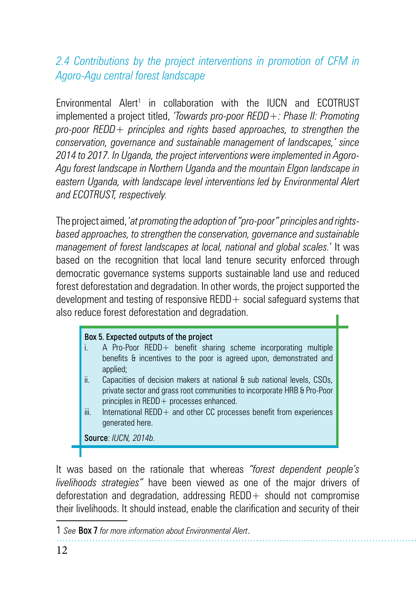## *2.4 Contributions by the project interventions in promotion of CFM in Agoro-Agu central forest landscape*

Environmental Alert<sup>1</sup> in collaboration with the IUCN and ECOTRUST implemented a project titled, *'Towards pro-poor REDD+: Phase II: Promoting pro-poor REDD+ principles and rights based approaches, to strengthen the conservation, governance and sustainable management of landscapes,' since 2014 to 2017. In Uganda, the project interventions were implemented in Agoro-Agu forest landscape in Northern Uganda and the mountain Elgon landscape in eastern Uganda, with landscape level interventions led by Environmental Alert and ECOTRUST, respectively.*

The project aimed, '*at promoting the adoption of "pro-poor" principles and rightsbased approaches, to strengthen the conservation, governance and sustainable management of forest landscapes at local, national and global scales.*' It was based on the recognition that local land tenure security enforced through democratic governance systems supports sustainable land use and reduced forest deforestation and degradation. In other words, the project supported the development and testing of responsive REDD  $+$  social safeguard systems that also reduce forest deforestation and degradation.

### **Box 5. Expected outputs of the project**

- A Pro-Poor REDD+ benefit sharing scheme incorporating multiple benefits & incentives to the poor is agreed upon, demonstrated and applied:
- ii. Capacities of decision makers at national & sub national levels, CSOs, private sector and grass root communities to incorporate HRB & Pro-Poor principles in REDD+ processes enhanced.
- iii. International REDD+ and other CC processes benefit from experiences generated here.

**Source**: *IUCN, 2014b.*

It was based on the rationale that whereas *"forest dependent people's livelihoods strategies"* have been viewed as one of the major drivers of deforestation and degradation, addressing  $REDD+$  should not compromise their livelihoods. It should instead, enable the clarification and security of their

<sup>1</sup> *See* **Box 7** *for more information about Environmental Alert*.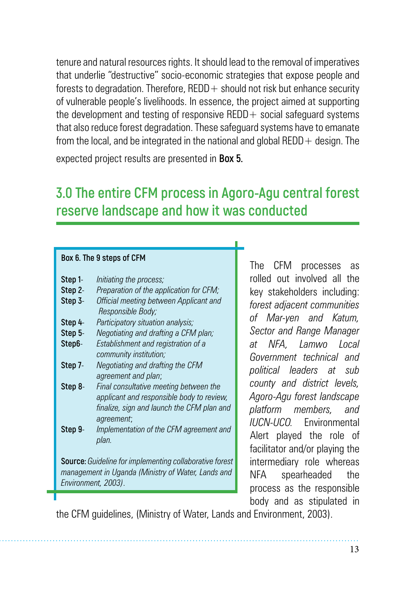tenure and natural resources rights. It should lead to the removal of imperatives that underlie "destructive" socio-economic strategies that expose people and forests to degradation. Therefore,  $REDD+$  should not risk but enhance security of vulnerable people's livelihoods. In essence, the project aimed at supporting the development and testing of responsive REDD + social safeguard systems that also reduce forest degradation. These safeguard systems have to emanate from the local, and be integrated in the national and global  $REDD +$  design. The

expected project results are presented in **Box 5.**

## **3.0 The entire CFM process in Agoro-Agu central forest reserve landscape and how it was conducted**

#### **Box 6. The 9 steps of CFM**

| Step 1-                                                 | Initiating the process;                                     |  |  |  |  |
|---------------------------------------------------------|-------------------------------------------------------------|--|--|--|--|
|                                                         |                                                             |  |  |  |  |
| Step 2-                                                 | Preparation of the application for CFM;                     |  |  |  |  |
| Step 3-                                                 | Official meeting between Applicant and<br>Responsible Body; |  |  |  |  |
| Step 4-                                                 | Participatory situation analysis;                           |  |  |  |  |
| Step 5-                                                 | Negotiating and drafting a CFM plan;                        |  |  |  |  |
| Step6-                                                  | Establishment and registration of a                         |  |  |  |  |
|                                                         | community institution;                                      |  |  |  |  |
| Step 7-                                                 | Negotiating and drafting the CFM                            |  |  |  |  |
|                                                         | agreement and plan;                                         |  |  |  |  |
| Step 8-                                                 | Final consultative meeting between the                      |  |  |  |  |
|                                                         | applicant and responsible body to review,                   |  |  |  |  |
|                                                         | finalize, sign and launch the CFM plan and                  |  |  |  |  |
|                                                         | agreement;                                                  |  |  |  |  |
| Step 9-                                                 | Implementation of the CFM agreement and                     |  |  |  |  |
|                                                         | plan.                                                       |  |  |  |  |
|                                                         |                                                             |  |  |  |  |
| Source: Guideline for implementing collaborative forest |                                                             |  |  |  |  |
| management in Uganda (Ministry of Water, Lands and      |                                                             |  |  |  |  |
| Environment, 2003).                                     |                                                             |  |  |  |  |
|                                                         |                                                             |  |  |  |  |

The CFM processes as rolled out involved all the key stakeholders including: *forest adjacent communities of Mar-yen and Katum, Sector and Range Manager at NFA, Lamwo Local Government technical and political leaders at sub county and district levels, Agoro-Agu forest landscape platform members, and IUCN-UCO.* Environmental Alert played the role of facilitator and/or playing the intermediary role whereas NFA spearheaded the process as the responsible body and as stipulated in

the CFM guidelines, (Ministry of Water, Lands and Environment, 2003).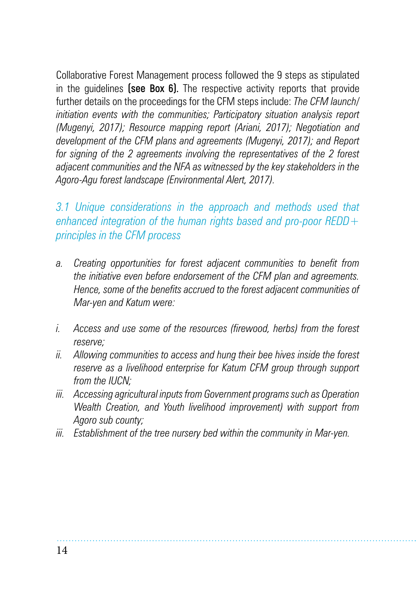Collaborative Forest Management process followed the 9 steps as stipulated in the guidelines **(see Box 6).** The respective activity reports that provide further details on the proceedings for the CFM steps include: *The CFM launch/ initiation events with the communities; Participatory situation analysis report (Mugenyi, 2017); Resource mapping report (Ariani, 2017); Negotiation and development of the CFM plans and agreements (Mugenyi, 2017); and Report for signing of the 2 agreements involving the representatives of the 2 forest adjacent communities and the NFA as witnessed by the key stakeholders in the Agoro-Agu forest landscape (Environmental Alert, 2017).*

*3.1 Unique considerations in the approach and methods used that enhanced integration of the human rights based and pro-poor REDD+ principles in the CFM process*

- *a. Creating opportunities for forest adjacent communities to benefit from the initiative even before endorsement of the CFM plan and agreements. Hence, some of the benefits accrued to the forest adjacent communities of Mar-yen and Katum were:*
- *i. Access and use some of the resources (firewood, herbs) from the forest reserve;*
- *ii. Allowing communities to access and hung their bee hives inside the forest reserve as a livelihood enterprise for Katum CFM group through support from the IUCN;*
- *iii. Accessing agricultural inputs from Government programs such as Operation Wealth Creation, and Youth livelihood improvement) with support from Agoro sub county;*
- *iii. Establishment of the tree nursery bed within the community in Mar-yen.*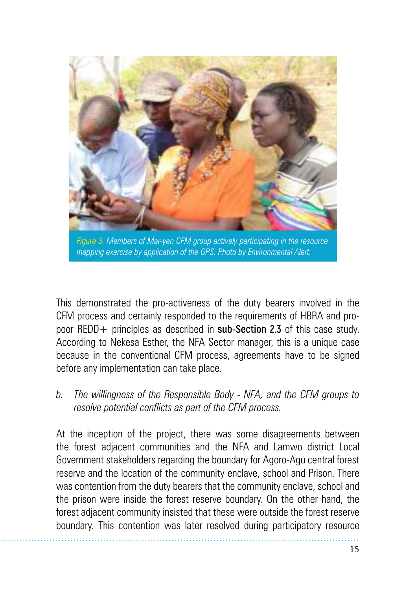

*Figure 3. Members of Mar-yen CFM group actively participating in the resource mapping exercise by application of the GPS. Photo by Environmental Alert.*

This demonstrated the pro-activeness of the duty bearers involved in the CFM process and certainly responded to the requirements of HBRA and propoor REDD+ principles as described in **sub-Section 2.3** of this case study. According to Nekesa Esther, the NFA Sector manager, this is a unique case because in the conventional CFM process, agreements have to be signed before any implementation can take place.

*b. The willingness of the Responsible Body - NFA, and the CFM groups to resolve potential conflicts as part of the CFM process.* 

At the inception of the project, there was some disagreements between the forest adjacent communities and the NFA and Lamwo district Local Government stakeholders regarding the boundary for Agoro-Agu central forest reserve and the location of the community enclave, school and Prison. There was contention from the duty bearers that the community enclave, school and the prison were inside the forest reserve boundary. On the other hand, the forest adjacent community insisted that these were outside the forest reserve boundary. This contention was later resolved during participatory resource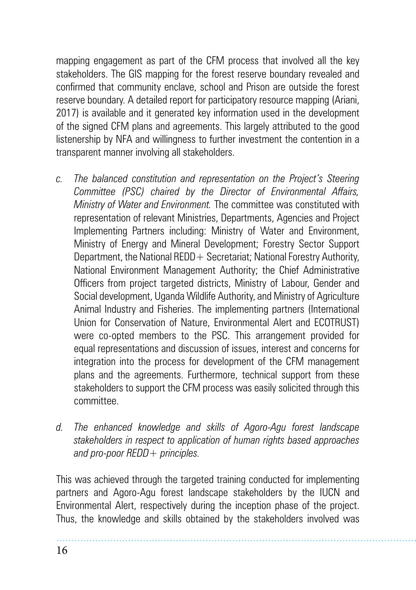mapping engagement as part of the CFM process that involved all the key stakeholders. The GIS mapping for the forest reserve boundary revealed and confirmed that community enclave, school and Prison are outside the forest reserve boundary. A detailed report for participatory resource mapping (Ariani, 2017) is available and it generated key information used in the development of the signed CFM plans and agreements. This largely attributed to the good listenership by NFA and willingness to further investment the contention in a transparent manner involving all stakeholders.

- *c. The balanced constitution and representation on the Project's Steering Committee (PSC) chaired by the Director of Environmental Affairs, Ministry of Water and Environment.* The committee was constituted with representation of relevant Ministries, Departments, Agencies and Project Implementing Partners including: Ministry of Water and Environment, Ministry of Energy and Mineral Development; Forestry Sector Support Department, the National REDD + Secretariat; National Forestry Authority, National Environment Management Authority; the Chief Administrative Officers from project targeted districts, Ministry of Labour, Gender and Social development, Uganda Wildlife Authority, and Ministry of Agriculture Animal Industry and Fisheries. The implementing partners (International Union for Conservation of Nature, Environmental Alert and ECOTRUST) were co-opted members to the PSC. This arrangement provided for equal representations and discussion of issues, interest and concerns for integration into the process for development of the CFM management plans and the agreements. Furthermore, technical support from these stakeholders to support the CFM process was easily solicited through this committee.
- *d. The enhanced knowledge and skills of Agoro-Agu forest landscape stakeholders in respect to application of human rights based approaches and pro-poor REDD+ principles.*

This was achieved through the targeted training conducted for implementing partners and Agoro-Agu forest landscape stakeholders by the IUCN and Environmental Alert, respectively during the inception phase of the project. Thus, the knowledge and skills obtained by the stakeholders involved was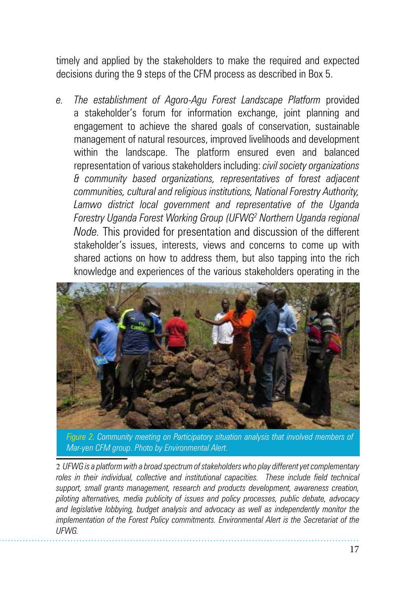timely and applied by the stakeholders to make the required and expected decisions during the 9 steps of the CFM process as described in Box 5.

*e. The establishment of Agoro-Agu Forest Landscape Platform* provided a stakeholder's forum for information exchange, joint planning and engagement to achieve the shared goals of conservation, sustainable management of natural resources, improved livelihoods and development within the landscape. The platform ensured even and balanced representation of various stakeholders including: *civil society organizations & community based organizations, representatives of forest adjacent communities, cultural and religious institutions, National Forestry Authority, Lamwo district local government and representative of the Uganda Forestry Uganda Forest Working Group (UFWG2 Northern Uganda regional Node.* This provided for presentation and discussion of the different stakeholder's issues, interests, views and concerns to come up with shared actions on how to address them, but also tapping into the rich knowledge and experiences of the various stakeholders operating in the



Figure 2. Community meeting on Participatory situation analysis that involved members of <sup>3</sup><br>Mar ves CEM group, Photo by Environmental Alart *Mar-yen CFM group. Photo by Environmental Alert.*

2 *UFWG is a platform with a broad spectrum of stakeholders who play different yet complementary roles in their individual, collective and institutional capacities. These include field technical support, small grants management, research and products development, awareness creation, piloting alternatives, media publicity of issues and policy processes, public debate, advocacy and legislative lobbying, budget analysis and advocacy as well as independently monitor the implementation of the Forest Policy commitments. Environmental Alert is the Secretariat of the UFWG.*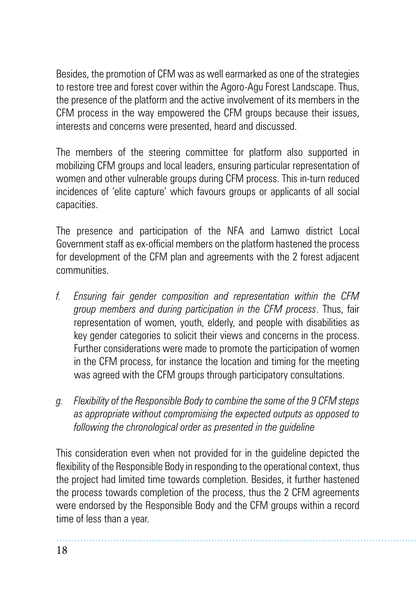Besides, the promotion of CFM was as well earmarked as one of the strategies to restore tree and forest cover within the Agoro-Agu Forest Landscape. Thus, the presence of the platform and the active involvement of its members in the CFM process in the way empowered the CFM groups because their issues, interests and concerns were presented, heard and discussed.

The members of the steering committee for platform also supported in mobilizing CFM groups and local leaders, ensuring particular representation of women and other vulnerable groups during CFM process. This in-turn reduced incidences of 'elite capture' which favours groups or applicants of all social capacities.

The presence and participation of the NFA and Lamwo district Local Government staff as ex-official members on the platform hastened the process for development of the CFM plan and agreements with the 2 forest adjacent communities.

- *f. Ensuring fair gender composition and representation within the CFM group members and during participation in the CFM process*. Thus, fair representation of women, youth, elderly, and people with disabilities as key gender categories to solicit their views and concerns in the process. Further considerations were made to promote the participation of women in the CFM process, for instance the location and timing for the meeting was agreed with the CFM groups through participatory consultations.
- *g. Flexibility of the Responsible Body to combine the some of the 9 CFM steps as appropriate without compromising the expected outputs as opposed to following the chronological order as presented in the guideline*

This consideration even when not provided for in the guideline depicted the flexibility of the Responsible Body in responding to the operational context, thus the project had limited time towards completion. Besides, it further hastened the process towards completion of the process, thus the 2 CFM agreements were endorsed by the Responsible Body and the CFM groups within a record time of less than a year.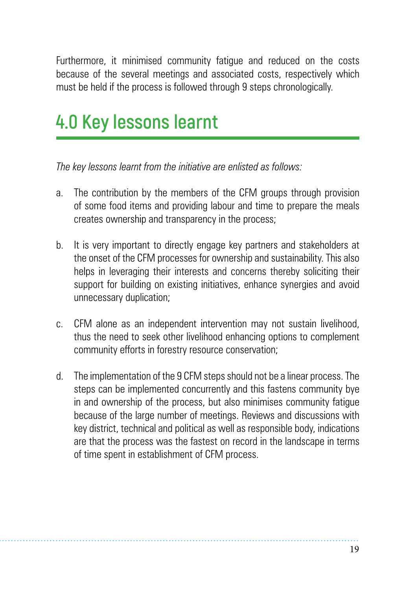Furthermore, it minimised community fatigue and reduced on the costs because of the several meetings and associated costs, respectively which must be held if the process is followed through 9 steps chronologically.

# **4.0 Key lessons learnt**

*The key lessons learnt from the initiative are enlisted as follows:*

- a. The contribution by the members of the CFM groups through provision of some food items and providing labour and time to prepare the meals creates ownership and transparency in the process;
- b. It is very important to directly engage key partners and stakeholders at the onset of the CFM processes for ownership and sustainability. This also helps in leveraging their interests and concerns thereby soliciting their support for building on existing initiatives, enhance synergies and avoid unnecessary duplication;
- c. CFM alone as an independent intervention may not sustain livelihood, thus the need to seek other livelihood enhancing options to complement community efforts in forestry resource conservation;
- d. The implementation of the 9 CFM steps should not be a linear process. The steps can be implemented concurrently and this fastens community bye in and ownership of the process, but also minimises community fatigue because of the large number of meetings. Reviews and discussions with key district, technical and political as well as responsible body, indications are that the process was the fastest on record in the landscape in terms of time spent in establishment of CFM process.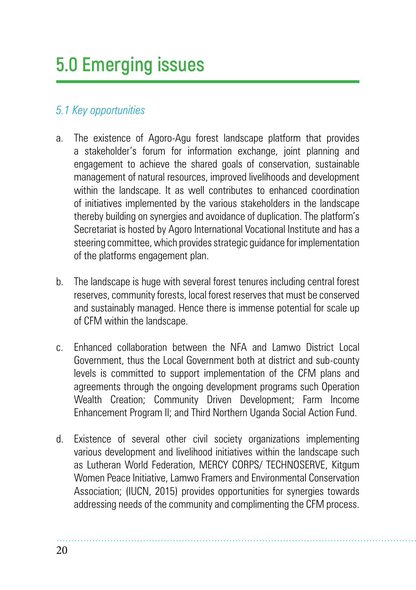# **5.0 Emerging issues**

## *5.1 Key opportunities*

- a. The existence of Agoro-Agu forest landscape platform that provides a stakeholder's forum for information exchange, joint planning and engagement to achieve the shared goals of conservation, sustainable management of natural resources, improved livelihoods and development within the landscape. It as well contributes to enhanced coordination of initiatives implemented by the various stakeholders in the landscape thereby building on synergies and avoidance of duplication. The platform's Secretariat is hosted by Agoro International Vocational Institute and has a steering committee, which provides strategic guidance for implementation of the platforms engagement plan.
- b. The landscape is huge with several forest tenures including central forest reserves, community forests, local forest reserves that must be conserved and sustainably managed. Hence there is immense potential for scale up of CFM within the landscape.
- c. Enhanced collaboration between the NFA and Lamwo District Local Government, thus the Local Government both at district and sub-county levels is committed to support implementation of the CFM plans and agreements through the ongoing development programs such Operation Wealth Creation; Community Driven Development; Farm Income Enhancement Program II; and Third Northern Uganda Social Action Fund.
- d. Existence of several other civil society organizations implementing various development and livelihood initiatives within the landscape such as Lutheran World Federation, MERCY CORPS/ TECHNOSERVE, Kitgum Women Peace Initiative, Lamwo Framers and Environmental Conservation Association; (IUCN, 2015) provides opportunities for synergies towards addressing needs of the community and complimenting the CFM process.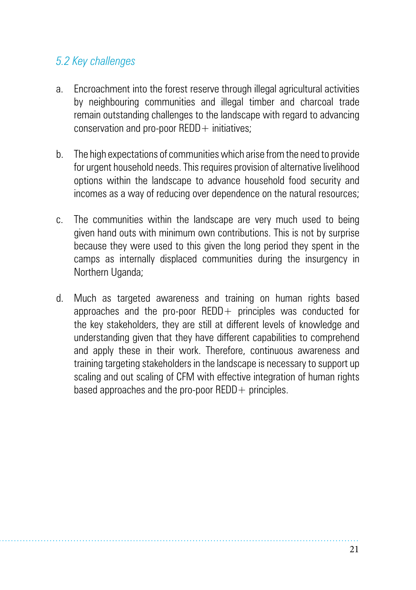## *5.2 Key challenges*

- a. Encroachment into the forest reserve through illegal agricultural activities by neighbouring communities and illegal timber and charcoal trade remain outstanding challenges to the landscape with regard to advancing conservation and pro-poor  $REDD +$  initiatives:
- b. The high expectations of communities which arise from the need to provide for urgent household needs. This requires provision of alternative livelihood options within the landscape to advance household food security and incomes as a way of reducing over dependence on the natural resources;
- c. The communities within the landscape are very much used to being given hand outs with minimum own contributions. This is not by surprise because they were used to this given the long period they spent in the camps as internally displaced communities during the insurgency in Northern Uganda;
- d. Much as targeted awareness and training on human rights based approaches and the pro-poor  $REDD+$  principles was conducted for the key stakeholders, they are still at different levels of knowledge and understanding given that they have different capabilities to comprehend and apply these in their work. Therefore, continuous awareness and training targeting stakeholders in the landscape is necessary to support up scaling and out scaling of CFM with effective integration of human rights based approaches and the pro-poor  $REDD +$  principles.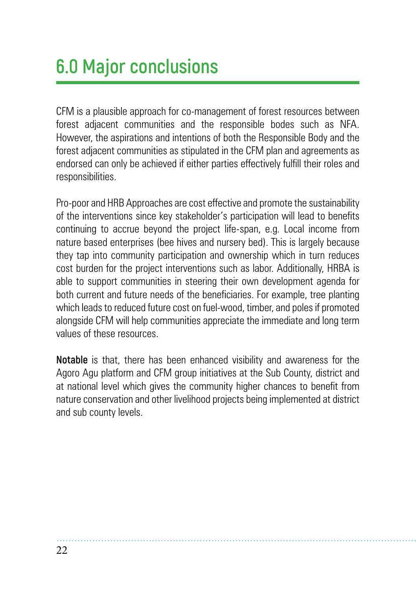# **6.0 Major conclusions**

CFM is a plausible approach for co-management of forest resources between forest adjacent communities and the responsible bodes such as NFA. However, the aspirations and intentions of both the Responsible Body and the forest adjacent communities as stipulated in the CFM plan and agreements as endorsed can only be achieved if either parties effectively fulfill their roles and responsibilities.

Pro-poor and HRB Approaches are cost effective and promote the sustainability of the interventions since key stakeholder's participation will lead to benefits continuing to accrue beyond the project life-span, e.g. Local income from nature based enterprises (bee hives and nursery bed). This is largely because they tap into community participation and ownership which in turn reduces cost burden for the project interventions such as labor. Additionally, HRBA is able to support communities in steering their own development agenda for both current and future needs of the beneficiaries. For example, tree planting which leads to reduced future cost on fuel-wood, timber, and poles if promoted alongside CFM will help communities appreciate the immediate and long term values of these resources.

**Notable** is that, there has been enhanced visibility and awareness for the Agoro Agu platform and CFM group initiatives at the Sub County, district and at national level which gives the community higher chances to benefit from nature conservation and other livelihood projects being implemented at district and sub county levels.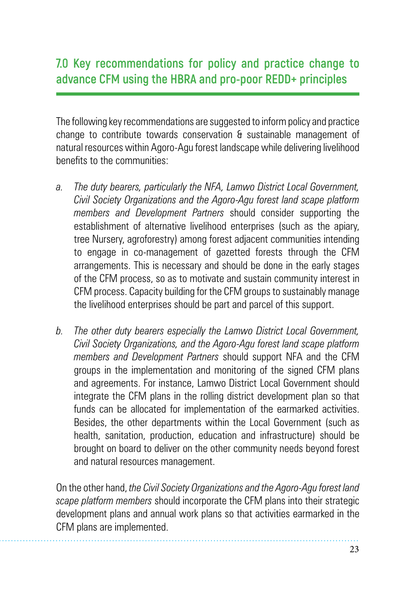## **7.0 Key recommendations for policy and practice change to advance CFM using the HBRA and pro-poor REDD+ principles**

The following key recommendations are suggested to inform policy and practice change to contribute towards conservation & sustainable management of natural resources within Agoro-Agu forest landscape while delivering livelihood benefits to the communities:

- *a. The duty bearers, particularly the NFA, Lamwo District Local Government, Civil Society Organizations and the Agoro-Agu forest land scape platform members and Development Partners* should consider supporting the establishment of alternative livelihood enterprises (such as the apiary, tree Nursery, agroforestry) among forest adjacent communities intending to engage in co-management of gazetted forests through the CFM arrangements. This is necessary and should be done in the early stages of the CFM process, so as to motivate and sustain community interest in CFM process. Capacity building for the CFM groups to sustainably manage the livelihood enterprises should be part and parcel of this support.
- *b. The other duty bearers especially the Lamwo District Local Government, Civil Society Organizations, and the Agoro-Agu forest land scape platform members and Development Partners* should support NFA and the CFM groups in the implementation and monitoring of the signed CFM plans and agreements. For instance, Lamwo District Local Government should integrate the CFM plans in the rolling district development plan so that funds can be allocated for implementation of the earmarked activities. Besides, the other departments within the Local Government (such as health, sanitation, production, education and infrastructure) should be brought on board to deliver on the other community needs beyond forest and natural resources management.

On the other hand, *the Civil Society Organizations and the Agoro-Agu forest land scape platform members* should incorporate the CFM plans into their strategic development plans and annual work plans so that activities earmarked in the CFM plans are implemented.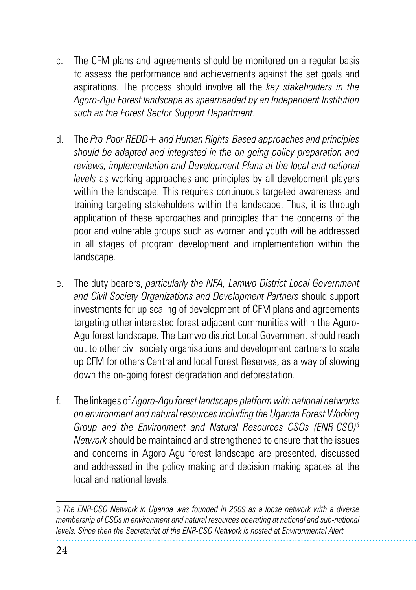- c. The CFM plans and agreements should be monitored on a regular basis to assess the performance and achievements against the set goals and aspirations. The process should involve all the *key stakeholders in the Agoro-Agu Forest landscape as spearheaded by an Independent Institution such as the Forest Sector Support Department.*
- d. The *Pro-Poor REDD+ and Human Rights-Based approaches and principles should be adapted and integrated in the on-going policy preparation and reviews, implementation and Development Plans at the local and national levels* as working approaches and principles by all development players within the landscape. This requires continuous targeted awareness and training targeting stakeholders within the landscape. Thus, it is through application of these approaches and principles that the concerns of the poor and vulnerable groups such as women and youth will be addressed in all stages of program development and implementation within the landscape.
- e. The duty bearers, *particularly the NFA, Lamwo District Local Government and Civil Society Organizations and Development Partners* should support investments for up scaling of development of CFM plans and agreements targeting other interested forest adjacent communities within the Agoro-Agu forest landscape. The Lamwo district Local Government should reach out to other civil society organisations and development partners to scale up CFM for others Central and local Forest Reserves, as a way of slowing down the on-going forest degradation and deforestation.
- f. The linkages of *Agoro-Agu forest landscape platform with national networks on environment and natural resources including the Uganda Forest Working Group and the Environment and Natural Resources CSOs (ENR-CSO)3 Network* should be maintained and strengthened to ensure that the issues and concerns in Agoro-Agu forest landscape are presented, discussed and addressed in the policy making and decision making spaces at the local and national levels.

<sup>3</sup> *The ENR-CSO Network in Uganda was founded in 2009 as a loose network with a diverse membership of CSOs in environment and natural resources operating at national and sub-national levels. Since then the Secretariat of the ENR-CSO Network is hosted at Environmental Alert.*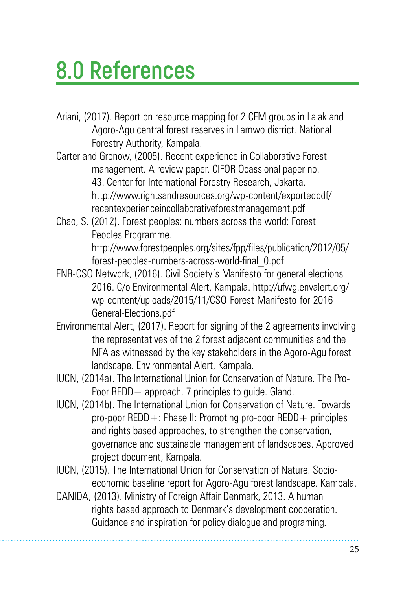# **8.0 References**

- Ariani, (2017). Report on resource mapping for 2 CFM groups in Lalak and Agoro-Agu central forest reserves in Lamwo district. National Forestry Authority, Kampala.
- Carter and Gronow, (2005). Recent experience in Collaborative Forest management. A review paper. CIFOR Ocassional paper no. 43. Center for International Forestry Research, Jakarta. http://www.rightsandresources.org/wp-content/exportedpdf/ recentexperienceincollaborativeforestmanagement.pdf
- Chao, S. (2012). Forest peoples: numbers across the world: Forest Peoples Programme. http://www.forestpeoples.org/sites/fpp/files/publication/2012/05/

forest-peoples-numbers-across-world-final\_0.pdf

- ENR-CSO Network, (2016). Civil Society's Manifesto for general elections 2016. C/o Environmental Alert, Kampala. http://ufwg.envalert.org/ wp-content/uploads/2015/11/CSO-Forest-Manifesto-for-2016- General-Elections.pdf
- Environmental Alert, (2017). Report for signing of the 2 agreements involving the representatives of the 2 forest adjacent communities and the NFA as witnessed by the key stakeholders in the Agoro-Agu forest landscape. Environmental Alert, Kampala.
- IUCN, (2014a). The International Union for Conservation of Nature. The Pro-Poor REDD + approach. 7 principles to guide. Gland.
- IUCN, (2014b). The International Union for Conservation of Nature. Towards pro-poor REDD  $+$ : Phase II: Promoting pro-poor REDD  $+$  principles and rights based approaches, to strengthen the conservation, governance and sustainable management of landscapes. Approved project document, Kampala.
- IUCN, (2015). The International Union for Conservation of Nature. Socioeconomic baseline report for Agoro-Agu forest landscape. Kampala.
- DANIDA, (2013). Ministry of Foreign Affair Denmark, 2013. A human rights based approach to Denmark's development cooperation. Guidance and inspiration for policy dialogue and programing.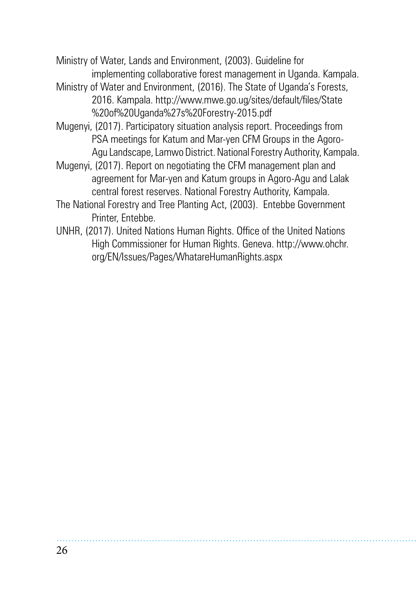Ministry of Water, Lands and Environment, (2003). Guideline for implementing collaborative forest management in Uganda. Kampala.

- Ministry of Water and Environment, (2016). The State of Uganda's Forests, 2016. Kampala. http://www.mwe.go.ug/sites/default/files/State %20of%20Uganda%27s%20Forestry-2015.pdf
- Mugenyi, (2017). Participatory situation analysis report. Proceedings from PSA meetings for Katum and Mar-yen CFM Groups in the Agoro-Agu Landscape, Lamwo District. National Forestry Authority, Kampala.
- Mugenyi, (2017). Report on negotiating the CFM management plan and agreement for Mar-yen and Katum groups in Agoro-Agu and Lalak central forest reserves. National Forestry Authority, Kampala.
- The National Forestry and Tree Planting Act, (2003). Entebbe Government Printer, Entebbe.
- UNHR, (2017). United Nations Human Rights. Office of the United Nations High Commissioner for Human Rights. Geneva. http://www.ohchr. org/EN/Issues/Pages/WhatareHumanRights.aspx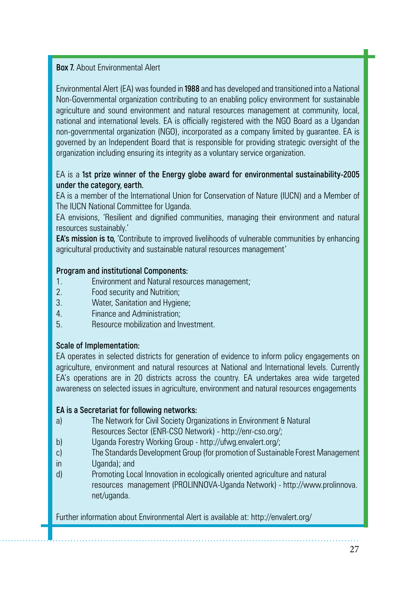### **Box 7.** About Environmental Alert

Environmental Alert (EA) was founded in **1988** and has developed and transitioned into a National Non-Governmental organization contributing to an enabling policy environment for sustainable agriculture and sound environment and natural resources management at community, local, national and international levels. EA is officially registered with the NGO Board as a Ugandan non-governmental organization (NGO), incorporated as a company limited by guarantee. EA is governed by an Independent Board that is responsible for providing strategic oversight of the organization including ensuring its integrity as a voluntary service organization.

### EA is a **1st prize winner of the Energy globe award for environmental sustainability-2005 under the category, earth.**

EA is a member of the International Union for Conservation of Nature (IUCN) and a Member of The IUCN National Committee for Uganda.

EA envisions, 'Resilient and dignified communities, managing their environment and natural resources sustainably.'

**EA's mission is to,** 'Contribute to improved livelihoods of vulnerable communities by enhancing agricultural productivity and sustainable natural resources management'

#### **Program and institutional Components:**

- 1. Environment and Natural resources management;
- 2. Food security and Nutrition;<br>3 Water Sanitation and Hygie
- Water, Sanitation and Hygiene;
- 4. Finance and Administration;
- 5. Resource mobilization and Investment.

### **Scale of Implementation:**

EA operates in selected districts for generation of evidence to inform policy engagements on agriculture, environment and natural resources at National and International levels. Currently EA's operations are in 20 districts across the country. EA undertakes area wide targeted awareness on selected issues in agriculture, environment and natural resources engagements

### **EA is a Secretariat for following networks:**

- a) The Network for Civil Society Organizations in Environment & Natural Resources Sector (ENR-CSO Network) - http://enr-cso.org/;
- b) Uganda Forestry Working Group http://ufwg.envalert.org/;
- c) The Standards Development Group (for promotion of Sustainable Forest Management
- in Uganda); and
- d) Promoting Local Innovation in ecologically oriented agriculture and natural resources management (PROLINNOVA-Uganda Network) - http://www.prolinnova. net/uganda.

Further information about Environmental Alert is available at: http://envalert.org/